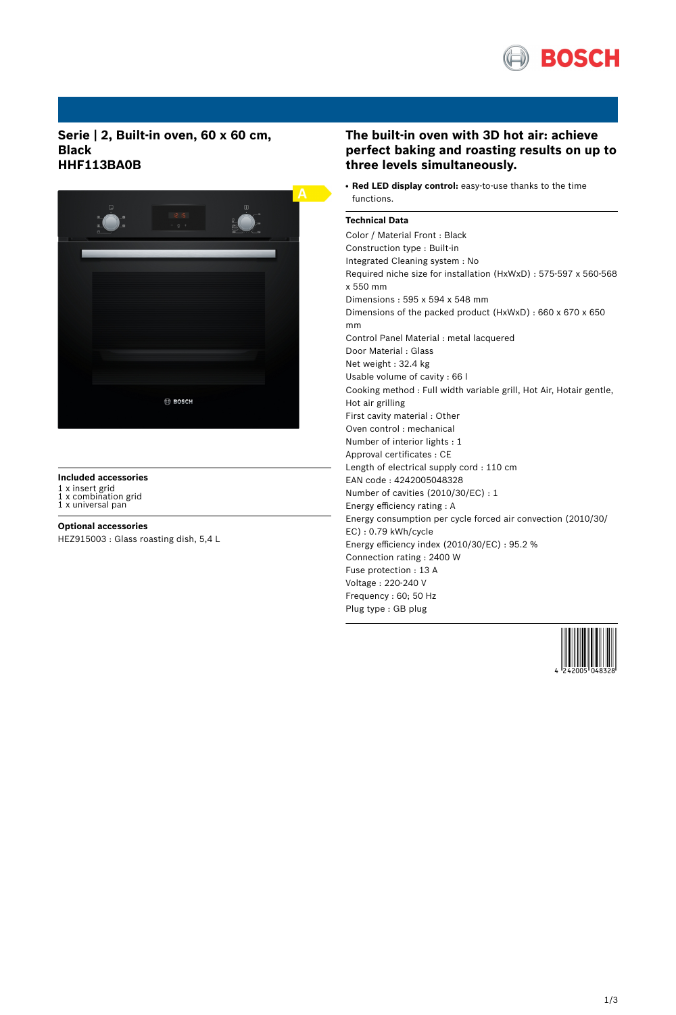

**Serie | 2, Built-in oven, 60 x 60 cm, Black HHF113BA0B**



# **Included accessories**

1 x insert grid 1 x combination grid 1 x universal pan

### **Optional accessories**

HEZ915003 : Glass roasting dish, 5,4 L

# **The built-in oven with 3D hot air: achieve perfect baking and roasting results on up to three levels simultaneously.**

● **Red LED display control:** easy-to-use thanks to the time functions.

## **Technical Data**

Color / Material Front : Black Construction type : Built-in Integrated Cleaning system : No Required niche size for installation (HxWxD) : 575-597 x 560-568 x 550 mm Dimensions : 595 x 594 x 548 mm Dimensions of the packed product (HxWxD) : 660 x 670 x 650 mm Control Panel Material : metal lacquered Door Material : Glass Net weight : 32.4 kg Usable volume of cavity : 66 l Cooking method : Full width variable grill, Hot Air, Hotair gentle, Hot air grilling First cavity material : Other Oven control : mechanical Number of interior lights : 1 Approval certificates : CE Length of electrical supply cord : 110 cm EAN code : 4242005048328 Number of cavities (2010/30/EC) : 1 Energy efficiency rating : A Energy consumption per cycle forced air convection (2010/30/ EC) : 0.79 kWh/cycle Energy efficiency index (2010/30/EC) : 95.2 % Connection rating : 2400 W Fuse protection : 13 A Voltage : 220-240 V Frequency : 60; 50 Hz Plug type : GB plug

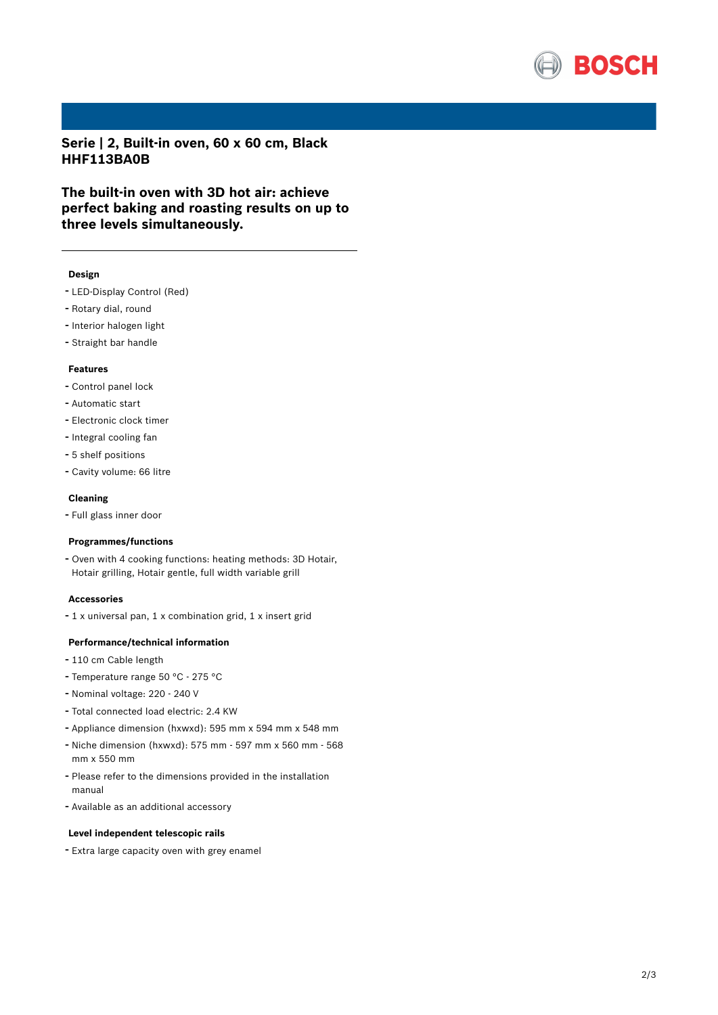

**Serie | 2, Built-in oven, 60 x 60 cm, Black HHF113BA0B**

**The built-in oven with 3D hot air: achieve perfect baking and roasting results on up to three levels simultaneously.**

## **Design**

- LED-Display Control (Red)
- Rotary dial, round
- Interior halogen light
- Straight bar handle

## **Features**

- Control panel lock
- Automatic start
- Electronic clock timer
- Integral cooling fan
- 5 shelf positions
- Cavity volume: <sup>66</sup> litre

#### **Cleaning**

- Full glass inner door

### **Programmes/functions**

- Oven with <sup>4</sup> cooking functions: heating methods: 3D Hotair, Hotair grilling, Hotair gentle, full width variable grill

#### **Accessories**

- <sup>1</sup> <sup>x</sup> universal pan, <sup>1</sup> <sup>x</sup> combination grid, <sup>1</sup> <sup>x</sup> insert grid

#### **Performance/technical information**

- <sup>110</sup> cm Cable length
- Temperature range <sup>50</sup> °C <sup>275</sup> °C
- Nominal voltage: <sup>220</sup> <sup>240</sup> <sup>V</sup>
- Total connected load electric: 2.4 KW
- Appliance dimension (hxwxd): 595 mm x 594 mm x 548 mm
- Niche dimension (hxwxd): <sup>575</sup> mm <sup>597</sup> mm <sup>x</sup> <sup>560</sup> mm <sup>568</sup> mm x 550 mm
- Please refer to the dimensions provided in the installation manual
- Available as an additional accessory

#### **Level independent telescopic rails**

- Extra large capacity oven with grey enamel